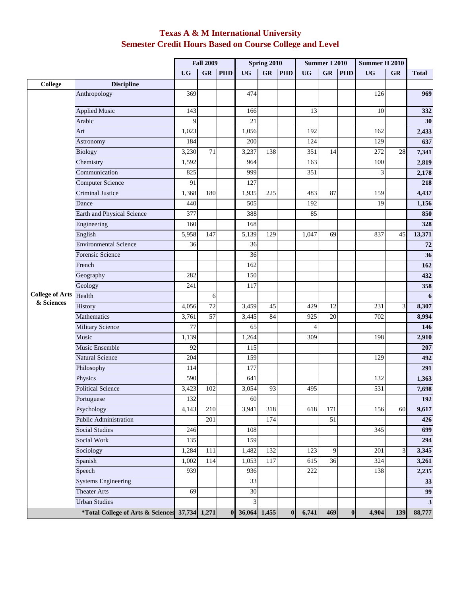## **Texas A & M International University Semester Credit Hours Based on Course College and Level**

|                                      |                                   | <b>Fall 2009</b> |                  | <b>Spring 2010</b> |                         |     | <b>Summer I 2010</b> |                |                 | Summer II 2010   |           |           |                  |
|--------------------------------------|-----------------------------------|------------------|------------------|--------------------|-------------------------|-----|----------------------|----------------|-----------------|------------------|-----------|-----------|------------------|
|                                      |                                   | <b>UG</b>        | GR               | <b>PHD</b>         | <b>UG</b>               | GR  | <b>PHD</b>           | <b>UG</b>      | GR              | <b>PHD</b>       | <b>UG</b> | <b>GR</b> | <b>Total</b>     |
| <b>College</b>                       | <b>Discipline</b>                 |                  |                  |                    |                         |     |                      |                |                 |                  |           |           |                  |
|                                      | Anthropology                      | 369              |                  |                    | 474                     |     |                      |                |                 |                  | 126       |           | 969              |
|                                      | <b>Applied Music</b>              | 143              |                  |                    | 166                     |     |                      | 13             |                 |                  | 10        |           | 332              |
|                                      | Arabic                            | 9                |                  |                    | $\overline{21}$         |     |                      |                |                 |                  |           |           | 30               |
|                                      | Art                               | 1,023            |                  |                    | 1,056                   |     |                      | 192            |                 |                  | 162       |           | 2,433            |
|                                      | Astronomy                         | 184              |                  |                    | 200                     |     |                      | 124            |                 |                  | 129       |           | 637              |
|                                      | Biology                           | 3,230            | 71               |                    | 3,237                   | 138 |                      | 351            | 14              |                  | 272       | 28        | 7,341            |
|                                      | Chemistry                         | 1,592            |                  |                    | 964                     |     |                      | 163            |                 |                  | 100       |           | 2,819            |
|                                      | Communication                     | 825              |                  |                    | 999                     |     |                      | 351            |                 |                  | 3         |           | 2,178            |
|                                      | <b>Computer Science</b>           | 91               |                  |                    | 127                     |     |                      |                |                 |                  |           |           | 218              |
|                                      | <b>Criminal Justice</b>           | 1,368            | 180              |                    | 1,935                   | 225 |                      | 483            | 87              |                  | 159       |           | 4,437            |
|                                      | Dance                             | 440              |                  |                    | 505                     |     |                      | 192            |                 |                  | 19        |           | 1,156            |
|                                      | Earth and Physical Science        | 377              |                  |                    | 388                     |     |                      | 85             |                 |                  |           |           | 850              |
|                                      | Engineering                       | 160              |                  |                    | 168                     |     |                      |                |                 |                  |           |           | 328              |
|                                      | English                           | 5,958            | 147              |                    | 5,139                   | 129 |                      | 1,047          | 69              |                  | 837       | 45        | 13,371           |
|                                      | <b>Environmental Science</b>      | 36               |                  |                    | 36                      |     |                      |                |                 |                  |           |           | ${\bf 72}$       |
|                                      | Forensic Science                  |                  |                  |                    | 36                      |     |                      |                |                 |                  |           |           | 36               |
|                                      | French                            |                  |                  |                    | 162                     |     |                      |                |                 |                  |           |           | 162              |
|                                      | Geography                         | 282              |                  |                    | 150                     |     |                      |                |                 |                  |           |           | 432              |
|                                      | Geology                           | 241              |                  |                    | 117                     |     |                      |                |                 |                  |           |           | 358              |
| <b>College of Arts</b><br>& Sciences | Health                            |                  | $\epsilon$       |                    |                         |     |                      |                |                 |                  |           |           | $\boldsymbol{6}$ |
|                                      | History                           | 4,056            | $\overline{72}$  |                    | 3,459                   | 45  |                      | 429            | 12              |                  | 231       | 3         | 8,307            |
|                                      | Mathematics                       | 3,761            | 57               |                    | 3,445                   | 84  |                      | 925            | 20              |                  | 702       |           | 8,994            |
|                                      | Military Science                  | 77               |                  |                    | 65                      |     |                      | $\overline{4}$ |                 |                  |           |           | 146              |
|                                      | Music                             | 1,139            |                  |                    | 1,264                   |     |                      | 309            |                 |                  | 198       |           | 2,910            |
|                                      | Music Ensemble                    | 92               |                  |                    | 115                     |     |                      |                |                 |                  |           |           | 207              |
|                                      | Natural Science                   | 204              |                  |                    | 159                     |     |                      |                |                 |                  | 129       |           | 492              |
|                                      | Philosophy                        | 114              |                  |                    | 177                     |     |                      |                |                 |                  |           |           | 291              |
|                                      | Physics                           | 590              |                  |                    | 641                     |     |                      |                |                 |                  | 132       |           | 1,363            |
|                                      | <b>Political Science</b>          | 3,423            | 102              |                    | 3,054                   | 93  |                      | 495            |                 |                  | 531       |           | 7,698            |
|                                      | Portuguese                        | 132              |                  |                    | 60                      |     |                      |                |                 |                  |           |           | 192              |
|                                      | Psychology                        | 4,143            | 210              |                    | 3,941                   | 318 |                      | 618            | 171             |                  | 156       | 60        | 9,617            |
|                                      | Public Administration             |                  | $\overline{201}$ |                    |                         | 174 |                      |                | $\overline{51}$ |                  |           |           | 426              |
|                                      | <b>Social Studies</b>             | 246              |                  |                    | 108                     |     |                      |                |                 |                  | 345       |           | 699              |
|                                      | Social Work                       | 135              |                  |                    | 159                     |     |                      |                |                 |                  |           |           | 294              |
|                                      | Sociology                         | 1,284            | 111              |                    | 1,482                   | 132 |                      | 123            | 9               |                  | 201       | 3         | 3,345            |
|                                      | Spanish                           | 1,002            | 114              |                    | 1,053                   | 117 |                      | 615            | $\overline{36}$ |                  | 324       |           | 3,261            |
|                                      | Speech                            | 939              |                  |                    | 936                     |     |                      | 222            |                 |                  | 138       |           | 2,235            |
|                                      | <b>Systems Engineering</b>        |                  |                  |                    | 33                      |     |                      |                |                 |                  |           |           | 33               |
|                                      | <b>Theater Arts</b>               | 69               |                  |                    | 30                      |     |                      |                |                 |                  |           |           | 99               |
|                                      | <b>Urban Studies</b>              |                  |                  |                    | $\overline{\mathbf{3}}$ |     |                      |                |                 |                  |           |           | $\mathbf{3}$     |
|                                      | *Total College of Arts & Sciences | 37,734 1,271     |                  | $\bf{0}$           | 36,064 1,455            |     | $\bf{0}$             | 6,741          | 469             | $\boldsymbol{0}$ | 4,904     | 139       | 88,777           |